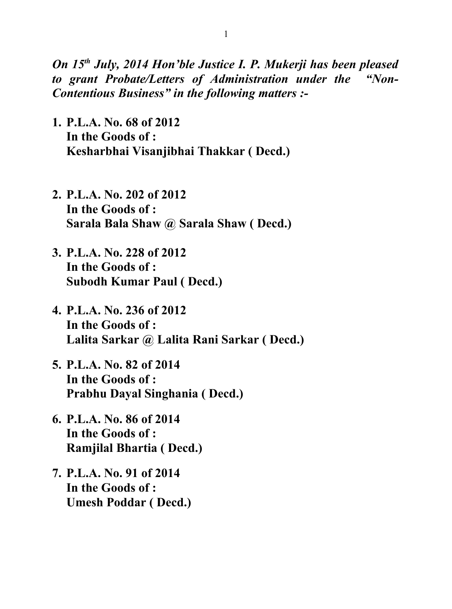*On 15th July, 2014 Hon'ble Justice I. P. Mukerji has been pleased to grant Probate/Letters of Administration under the "Non-Contentious Business" in the following matters :-*

- **1. P.L.A. No. 68 of 2012 In the Goods of : Kesharbhai Visanjibhai Thakkar ( Decd.)**
- **2. P.L.A. No. 202 of 2012 In the Goods of : Sarala Bala Shaw @ Sarala Shaw ( Decd.)**
- **3. P.L.A. No. 228 of 2012 In the Goods of : Subodh Kumar Paul ( Decd.)**
- **4. P.L.A. No. 236 of 2012 In the Goods of : Lalita Sarkar @ Lalita Rani Sarkar ( Decd.)**
- **5. P.L.A. No. 82 of 2014 In the Goods of : Prabhu Dayal Singhania ( Decd.)**
- **6. P.L.A. No. 86 of 2014 In the Goods of : Ramjilal Bhartia ( Decd.)**
- **7. P.L.A. No. 91 of 2014 In the Goods of : Umesh Poddar ( Decd.)**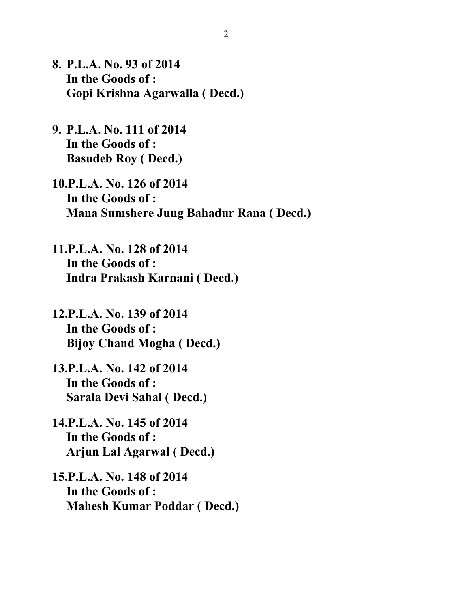- **8. P.L.A. No. 93 of 2014 In the Goods of : Gopi Krishna Agarwalla ( Decd.)**
- **9. P.L.A. No. 111 of 2014 In the Goods of : Basudeb Roy ( Decd.)**
- **10.P.L.A. No. 126 of 2014 In the Goods of : Mana Sumshere Jung Bahadur Rana ( Decd.)**
- **11.P.L.A. No. 128 of 2014 In the Goods of : Indra Prakash Karnani ( Decd.)**
- **12.P.L.A. No. 139 of 2014 In the Goods of : Bijoy Chand Mogha ( Decd.)**
- **13.P.L.A. No. 142 of 2014 In the Goods of : Sarala Devi Sahal ( Decd.)**
- **14.P.L.A. No. 145 of 2014 In the Goods of : Arjun Lal Agarwal ( Decd.)**
- **15.P.L.A. No. 148 of 2014 In the Goods of : Mahesh Kumar Poddar ( Decd.)**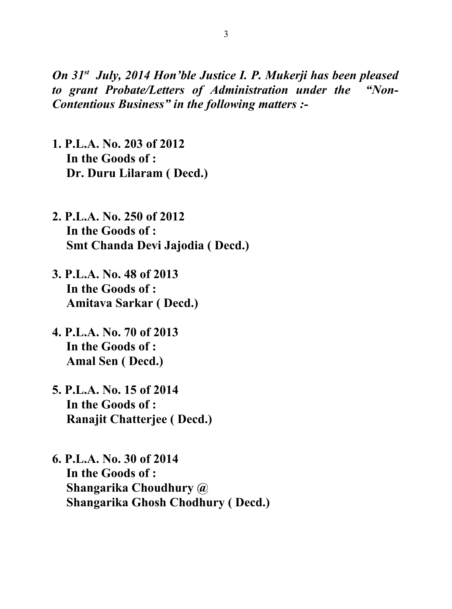*On 31st July, 2014 Hon'ble Justice I. P. Mukerji has been pleased to grant Probate/Letters of Administration under the "Non-Contentious Business" in the following matters :-*

- **1. P.L.A. No. 203 of 2012 In the Goods of : Dr. Duru Lilaram ( Decd.)**
- **2. P.L.A. No. 250 of 2012 In the Goods of : Smt Chanda Devi Jajodia ( Decd.)**
- **3. P.L.A. No. 48 of 2013 In the Goods of : Amitava Sarkar ( Decd.)**
- **4. P.L.A. No. 70 of 2013 In the Goods of : Amal Sen ( Decd.)**
- **5. P.L.A. No. 15 of 2014 In the Goods of : Ranajit Chatterjee ( Decd.)**
- **6. P.L.A. No. 30 of 2014 In the Goods of : Shangarika Choudhury @ Shangarika Ghosh Chodhury ( Decd.)**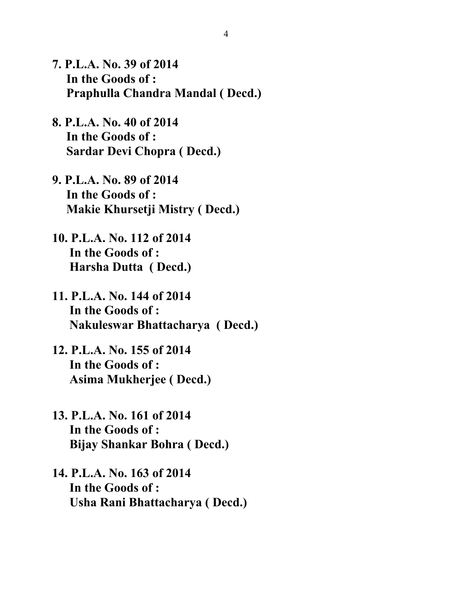- **7. P.L.A. No. 39 of 2014 In the Goods of : Praphulla Chandra Mandal ( Decd.)**
- **8. P.L.A. No. 40 of 2014 In the Goods of : Sardar Devi Chopra ( Decd.)**
- **9. P.L.A. No. 89 of 2014 In the Goods of : Makie Khursetji Mistry ( Decd.)**
- **10. P.L.A. No. 112 of 2014 In the Goods of : Harsha Dutta ( Decd.)**
- **11. P.L.A. No. 144 of 2014 In the Goods of : Nakuleswar Bhattacharya ( Decd.)**
- **12. P.L.A. No. 155 of 2014 In the Goods of : Asima Mukherjee ( Decd.)**
- **13. P.L.A. No. 161 of 2014 In the Goods of : Bijay Shankar Bohra ( Decd.)**
- **14. P.L.A. No. 163 of 2014 In the Goods of : Usha Rani Bhattacharya ( Decd.)**